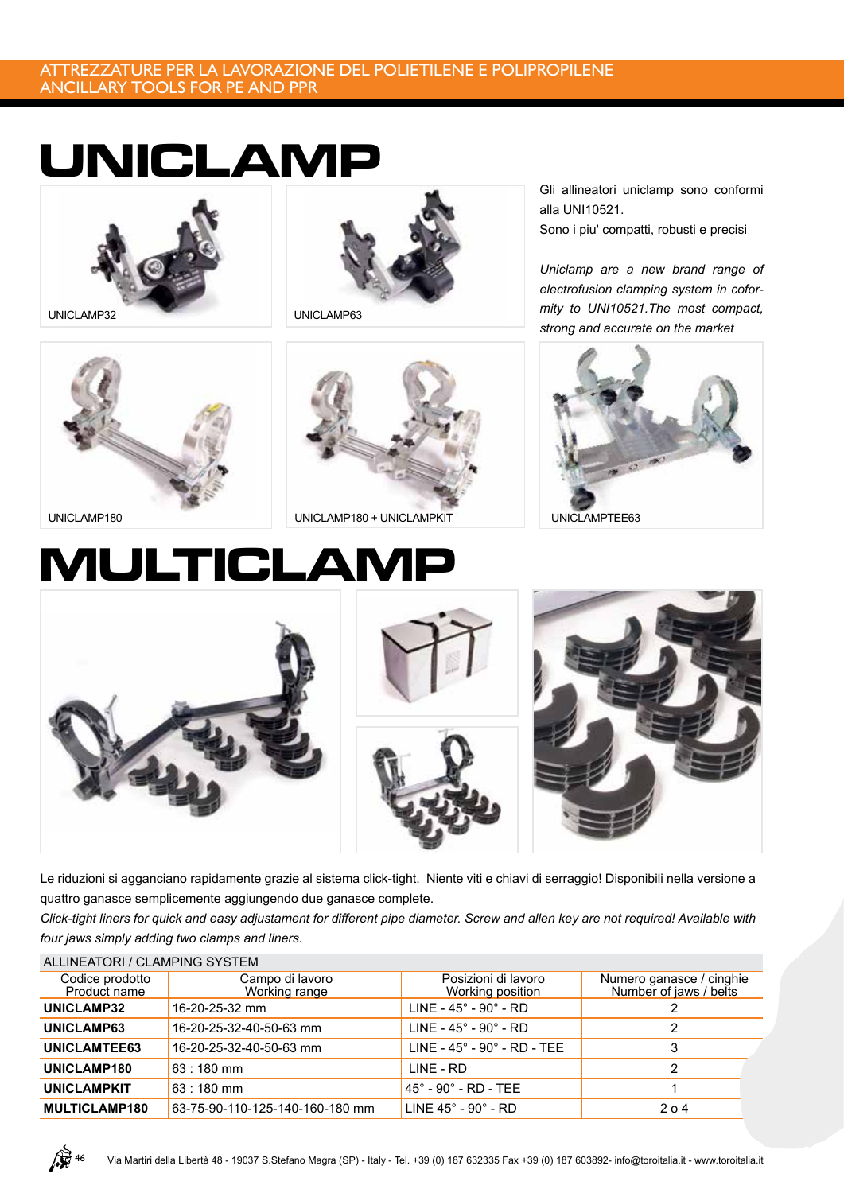#### ATTREZZATURE PER LA LAVORAZIONE DEL POLIETILENE E POLIPROPILENE ANCILLARY TOOLS FOR PE AND PPR

### **UNICLAMP**





Gli allineatori uniclamp sono conformi alla UNI10521. Sono i piu' compatti, robusti e precisi

*Uniclamp are a new brand range of electrofusion clamping system in coformity to UNI10521.The most compact, strong and accurate on the market*







# **MULTICLAMP**



Le riduzioni si agganciano rapidamente grazie al sistema click-tight. Niente viti e chiavi di serraggio! Disponibili nella versione a quattro ganasce semplicemente aggiungendo due ganasce complete.

*Click-tight liners for quick and easy adjustament for different pipe diameter. Screw and allen key are not required! Available with four jaws simply adding two clamps and liners.*

| ALLINEATORI / CLAMPING SYSTEM   |                                  |                                           |                                                    |  |  |
|---------------------------------|----------------------------------|-------------------------------------------|----------------------------------------------------|--|--|
| Codice prodotto<br>Product name | Campo di lavoro<br>Working range | Posizioni di lavoro<br>Working position   | Numero ganasce / cinghie<br>Number of jaws / belts |  |  |
| UNICLAMP32                      | 16-20-25-32 mm                   | LINE - $45^\circ$ - $90^\circ$ - RD       |                                                    |  |  |
| UNICLAMP63                      | 16-20-25-32-40-50-63 mm          | LINE - $45^\circ$ - $90^\circ$ - RD       | 2                                                  |  |  |
| UNICLAMTEE63                    | 16-20-25-32-40-50-63 mm          | LINE - $45^\circ$ - $90^\circ$ - RD - TEE |                                                    |  |  |
| UNICLAMP180                     | $63:180$ mm                      | LINE - RD                                 | 2                                                  |  |  |
| <b>UNICLAMPKIT</b>              | $63:180$ mm                      | $45^{\circ}$ - 90 $^{\circ}$ - RD - TEE   |                                                    |  |  |
| <b>MULTICLAMP180</b>            | 63-75-90-110-125-140-160-180 mm  | LINE $45^\circ$ - 90 $^\circ$ - RD        | 204                                                |  |  |
|                                 |                                  |                                           |                                                    |  |  |